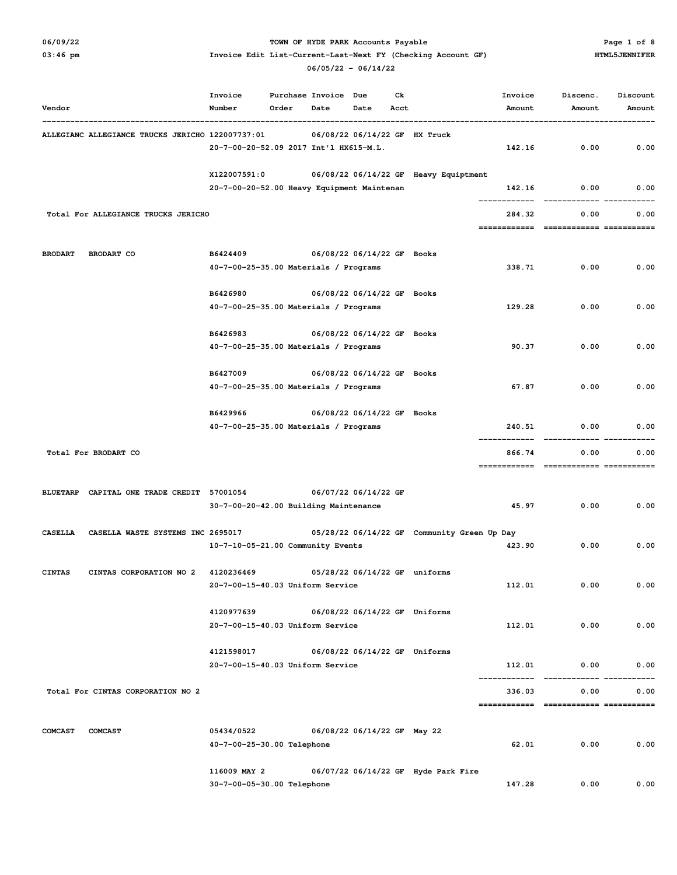## O6/09/22 **PARK Accounts Payable** PARK Accounts Payable PARK Accounts Payable Page 1 of 8

|                                     |                                                  | Invoice                                        | Purchase Invoice |      | Due                           | Сk   |                                             | Invoice                | Discenc.                          | Discount |
|-------------------------------------|--------------------------------------------------|------------------------------------------------|------------------|------|-------------------------------|------|---------------------------------------------|------------------------|-----------------------------------|----------|
| Vendor                              |                                                  | Number                                         | Order            | Date | Date                          | Acct |                                             | Amount                 | Amount                            | Amount   |
|                                     | ALLEGIANC ALLEGIANCE TRUCKS JERICHO 122007737:01 |                                                |                  |      | 06/08/22 06/14/22 GF HX Truck |      |                                             |                        |                                   |          |
|                                     |                                                  | 20-7-00-20-52.09 2017 Int'l HX615-M.L.         |                  |      |                               |      |                                             | 142.16                 | 0.00                              | 0.00     |
|                                     |                                                  | X122007591:0                                   |                  |      |                               |      | 06/08/22 06/14/22 GF Heavy Equiptment       |                        |                                   |          |
|                                     |                                                  | 20-7-00-20-52.00 Heavy Equipment Maintenan     |                  |      |                               |      |                                             | 142.16                 | 0.00                              | 0.00     |
|                                     | Total For ALLEGIANCE TRUCKS JERICHO              |                                                |                  |      |                               |      |                                             | 284.32                 | 0.00                              | 0.00     |
|                                     |                                                  |                                                |                  |      |                               |      |                                             | ============           | ============= ===========         |          |
| <b>BRODART</b><br><b>BRODART CO</b> |                                                  | B6424409                                       |                  |      | 06/08/22 06/14/22 GF Books    |      |                                             |                        |                                   |          |
|                                     |                                                  | 40-7-00-25-35.00 Materials / Programs          |                  |      |                               |      |                                             | 338.71                 | 0.00                              | 0.00     |
|                                     |                                                  | B6426980                                       |                  |      | 06/08/22 06/14/22 GF Books    |      |                                             |                        |                                   |          |
|                                     |                                                  | 40-7-00-25-35.00 Materials / Programs          |                  |      |                               |      |                                             | 129.28                 | 0.00                              | 0.00     |
|                                     |                                                  | B6426983                                       |                  |      | 06/08/22 06/14/22 GF Books    |      |                                             |                        |                                   |          |
|                                     |                                                  | 40-7-00-25-35.00 Materials / Programs          |                  |      |                               |      |                                             | 90.37                  | 0.00                              | 0.00     |
|                                     |                                                  | B6427009                                       |                  |      | 06/08/22 06/14/22 GF Books    |      |                                             |                        |                                   |          |
|                                     |                                                  | 40-7-00-25-35.00 Materials / Programs          |                  |      |                               |      |                                             | 67.87                  | 0.00                              | 0.00     |
|                                     |                                                  | B6429966                                       |                  |      | 06/08/22 06/14/22 GF Books    |      |                                             |                        |                                   |          |
|                                     |                                                  | 40-7-00-25-35.00 Materials / Programs          |                  |      |                               |      |                                             | 240.51                 | 0.00                              | 0.00     |
|                                     | Total For BRODART CO                             |                                                |                  |      |                               |      |                                             | 866.74<br>============ | 0.00<br>============= =========== | 0.00     |
|                                     |                                                  |                                                |                  |      |                               |      |                                             |                        |                                   |          |
| <b>BLUETARP</b>                     | CAPITAL ONE TRADE CREDIT 57001054                | 30-7-00-20-42.00 Building Maintenance          |                  |      | 06/07/22 06/14/22 GF          |      |                                             | 45.97                  | 0.00                              | 0.00     |
|                                     |                                                  |                                                |                  |      |                               |      |                                             |                        |                                   |          |
| <b>CASELLA</b>                      | CASELLA WASTE SYSTEMS INC 2695017                | 10-7-10-05-21.00 Community Events              |                  |      |                               |      | 05/28/22 06/14/22 GF Community Green Up Day | 423.90                 | 0.00                              | 0.00     |
|                                     |                                                  |                                                |                  |      |                               |      |                                             |                        |                                   |          |
| <b>CINTAS</b>                       | CINTAS CORPORATION NO 2                          | 4120236469<br>20-7-00-15-40.03 Uniform Service |                  |      | 05/28/22 06/14/22 GF uniforms |      |                                             | 112.01                 | 0.00                              | 0.00     |
|                                     |                                                  |                                                |                  |      |                               |      |                                             |                        |                                   |          |
|                                     |                                                  | 4120977639                                     |                  |      | 06/08/22 06/14/22 GF Uniforms |      |                                             |                        |                                   |          |
|                                     |                                                  | 20-7-00-15-40.03 Uniform Service               |                  |      |                               |      |                                             | 112.01                 | 0.00                              | 0.00     |
|                                     |                                                  | 4121598017                                     |                  |      | 06/08/22 06/14/22 GF Uniforms |      |                                             |                        |                                   |          |
|                                     |                                                  | 20-7-00-15-40.03 Uniform Service               |                  |      |                               |      |                                             | 112.01                 | 0.00<br>$- - - - - - - -$         | 0.00     |
|                                     | Total For CINTAS CORPORATION NO 2                |                                                |                  |      |                               |      |                                             | 336.03                 | 0.00                              | 0.00     |
|                                     |                                                  |                                                |                  |      |                               |      |                                             |                        |                                   |          |
| <b>COMCAST</b>                      | <b>COMCAST</b>                                   | 05434/0522<br>40-7-00-25-30.00 Telephone       |                  |      | 06/08/22 06/14/22 GF May 22   |      |                                             | 62.01                  | 0.00                              | 0.00     |
|                                     |                                                  |                                                |                  |      |                               |      |                                             |                        |                                   |          |
|                                     |                                                  | 116009 MAY 2<br>30-7-00-05-30.00 Telephone     |                  |      |                               |      | 06/07/22 06/14/22 GF Hyde Park Fire         | 147.28                 | 0.00                              | 0.00     |
|                                     |                                                  |                                                |                  |      |                               |      |                                             |                        |                                   |          |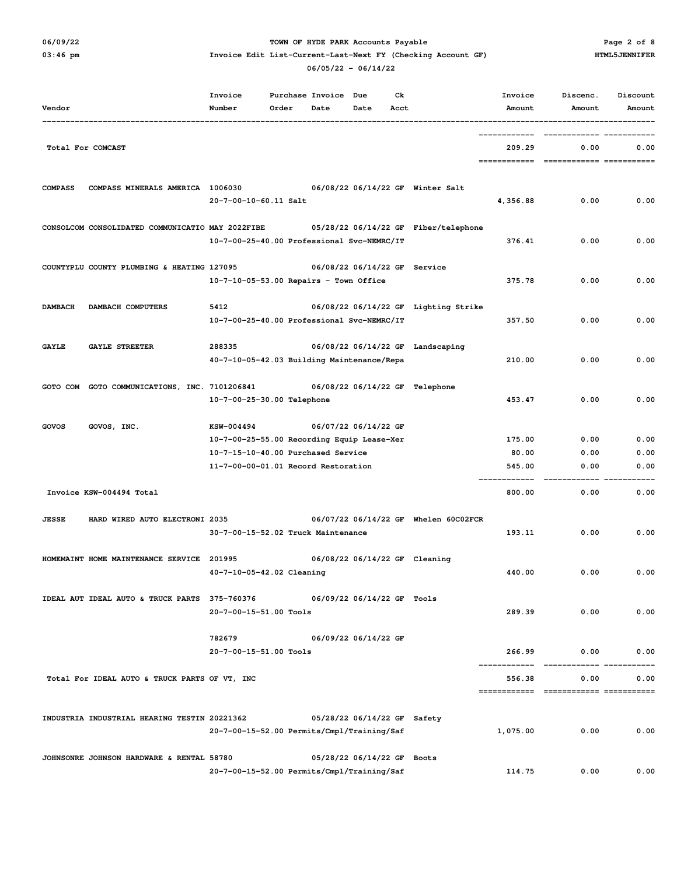## O6/09/22 **PARK Accounts Payable** PARK Accounts Payable PARK Accounts Payable Page 2 of 8

| Vendor         |                                                  | Invoice<br>Number                                                                                                                     | Order | Purchase Invoice<br>Date | Due<br>Date                  | Сk<br>Acct |                                      | Invoice<br>Amount         | Discenc.<br>Amount                 | Discount<br>Amount   |
|----------------|--------------------------------------------------|---------------------------------------------------------------------------------------------------------------------------------------|-------|--------------------------|------------------------------|------------|--------------------------------------|---------------------------|------------------------------------|----------------------|
|                | Total For COMCAST                                |                                                                                                                                       |       |                          |                              |            |                                      | 209.29<br>============    | 0.00<br>-------------------------- | 0.00                 |
| <b>COMPASS</b> | COMPASS MINERALS AMERICA 1006030                 | 20-7-00-10-60.11 Salt                                                                                                                 |       |                          |                              |            | 06/08/22 06/14/22 GF Winter Salt     | 4,356.88                  | 0.00                               | 0.00                 |
|                | CONSOLCOM CONSOLIDATED COMMUNICATIO MAY 2022FIBE | 10-7-00-25-40.00 Professional Svc-NEMRC/IT                                                                                            |       |                          |                              |            | 05/28/22 06/14/22 GF Fiber/telephone | 376.41                    | 0.00                               | 0.00                 |
|                | COUNTYPLU COUNTY PLUMBING & HEATING 127095       | $10 - 7 - 10 - 05 - 53.00$ Repairs - Town Office                                                                                      |       |                          | 06/08/22 06/14/22 GF Service |            |                                      | 375.78                    | 0.00                               | 0.00                 |
| <b>DAMBACH</b> | DAMBACH COMPUTERS                                | 5412<br>10-7-00-25-40.00 Professional Svc-NEMRC/IT                                                                                    |       |                          |                              |            | 06/08/22 06/14/22 GF Lighting Strike | 357.50                    | 0.00                               | 0.00                 |
| <b>GAYLE</b>   | <b>GAYLE STREETER</b>                            | 288335<br>40-7-10-05-42.03 Building Maintenance/Repa                                                                                  |       |                          |                              |            | 06/08/22 06/14/22 GF Landscaping     | 210.00                    | 0.00                               | 0.00                 |
| GOTO COM       | GOTO COMMUNICATIONS, INC. 7101206841             | 10-7-00-25-30.00 Telephone                                                                                                            |       |                          |                              |            | 06/08/22 06/14/22 GF Telephone       | 453.47                    | 0.00                               | 0.00                 |
| GOVOS          | GOVOS, INC.                                      | KSW-004494<br>10-7-00-25-55.00 Recording Equip Lease-Xer<br>10-7-15-10-40.00 Purchased Service<br>11-7-00-00-01.01 Record Restoration |       |                          | 06/07/22 06/14/22 GF         |            |                                      | 175.00<br>80.00<br>545.00 | 0.00<br>0.00<br>0.00               | 0.00<br>0.00<br>0.00 |
|                | Invoice KSW-004494 Total                         |                                                                                                                                       |       |                          |                              |            |                                      | 800.00                    | 0.00                               | 0.00                 |
| <b>JESSE</b>   | HARD WIRED AUTO ELECTRONI 2035                   | 30-7-00-15-52.02 Truck Maintenance                                                                                                    |       |                          |                              |            | 06/07/22 06/14/22 GF Whelen 60C02FCR | 193.11                    | 0.00                               | 0.00                 |
|                | HOMEMAINT HOME MAINTENANCE SERVICE               | 201995<br>40-7-10-05-42.02 Cleaning                                                                                                   |       |                          |                              |            | 06/08/22 06/14/22 GF Cleaning        | 440.00                    | 0.00                               | 0.00                 |
|                | IDEAL AUT IDEAL AUTO & TRUCK PARTS 375-760376    | 20-7-00-15-51.00 Tools                                                                                                                |       |                          | 06/09/22 06/14/22 GF Tools   |            |                                      | 289.39                    | 0.00                               | 0.00                 |
|                |                                                  | 782679<br>20-7-00-15-51.00 Tools                                                                                                      |       |                          | 06/09/22 06/14/22 GF         |            |                                      | 266.99                    | 0.00                               | 0.00                 |
|                | Total For IDEAL AUTO & TRUCK PARTS OF VT, INC    |                                                                                                                                       |       |                          |                              |            |                                      | 556.38                    | 0.00                               | 0.00                 |
|                | INDUSTRIA INDUSTRIAL HEARING TESTIN 20221362     | 20-7-00-15-52.00 Permits/Cmpl/Training/Saf                                                                                            |       |                          | 05/28/22 06/14/22 GF Safety  |            |                                      | 1,075.00                  | 0.00                               | 0.00                 |
|                | JOHNSONRE JOHNSON HARDWARE & RENTAL 58780        | 20-7-00-15-52.00 Permits/Cmpl/Training/Saf                                                                                            |       |                          | 05/28/22 06/14/22 GF Boots   |            |                                      | 114.75                    | 0.00                               | 0.00                 |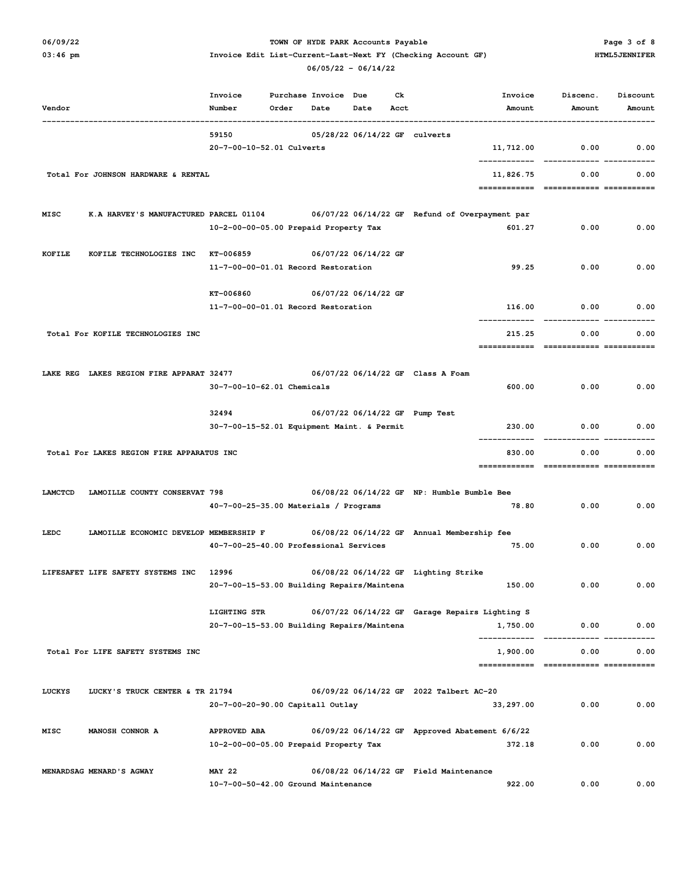# O6/09/22 **PARK Accounts Payable** PARK Accounts Payable PARK Accounts Payable Page 3 of 8

|  |  | U6/U5/ZZ - U6/I4/ZZ |  |
|--|--|---------------------|--|
|  |  |                     |  |

| Vendor  |                                           | Invoice<br>Number                                          | Order | Purchase Invoice Due<br>Date | Date | Ck<br>Acct | Invoice<br>Amount                                                                     | Discenc.<br>Amount                | Discount<br>Amount |
|---------|-------------------------------------------|------------------------------------------------------------|-------|------------------------------|------|------------|---------------------------------------------------------------------------------------|-----------------------------------|--------------------|
|         |                                           | 59150                                                      |       |                              |      |            | 05/28/22 06/14/22 GF culverts                                                         |                                   |                    |
|         |                                           | 20-7-00-10-52.01 Culverts                                  |       |                              |      |            | 11,712.00                                                                             | 0.00                              | 0.00               |
|         | Total For JOHNSON HARDWARE & RENTAL       |                                                            |       |                              |      |            | 11,826.75<br>============                                                             | 0.00<br>============= =========== | 0.00               |
| MISC    |                                           |                                                            |       |                              |      |            | K.A HARVEY'S MANUFACTURED PARCEL 01104 06/07/22 06/14/22 GF Refund of Overpayment par |                                   |                    |
|         |                                           | 10-2-00-00-05.00 Prepaid Property Tax                      |       |                              |      |            | 601.27                                                                                | 0.00                              | 0.00               |
| KOFILE  | KOFILE TECHNOLOGIES INC                   | KT-006859                                                  |       | 06/07/22 06/14/22 GF         |      |            |                                                                                       |                                   |                    |
|         |                                           | 11-7-00-00-01.01 Record Restoration                        |       |                              |      |            | 99.25                                                                                 | 0.00                              | 0.00               |
|         |                                           | KT-006860                                                  |       | 06/07/22 06/14/22 GF         |      |            |                                                                                       |                                   |                    |
|         |                                           | 11-7-00-00-01.01 Record Restoration                        |       |                              |      |            | 116.00                                                                                | 0.00                              | 0.00               |
|         | Total For KOFILE TECHNOLOGIES INC         |                                                            |       |                              |      |            | 215.25<br>============                                                                | 0.00<br>============= =========== | 0.00               |
|         | LAKE REG LAKES REGION FIRE APPARAT 32477  |                                                            |       |                              |      |            | 06/07/22 06/14/22 GF Class A Foam                                                     |                                   |                    |
|         |                                           | 30-7-00-10-62.01 Chemicals                                 |       |                              |      |            | 600.00                                                                                | 0.00                              | 0.00               |
|         |                                           | 32494                                                      |       |                              |      |            | 06/07/22 06/14/22 GF Pump Test                                                        |                                   |                    |
|         |                                           | 30-7-00-15-52.01 Equipment Maint. & Permit                 |       |                              |      |            | 230.00                                                                                | 0.00                              | 0.00               |
|         | Total For LAKES REGION FIRE APPARATUS INC |                                                            |       |                              |      |            | 830.00                                                                                | 0.00                              | 0.00               |
| LAMCTCD | LAMOILLE COUNTY CONSERVAT 798             |                                                            |       |                              |      |            | 06/08/22 06/14/22 GF NP: Humble Bumble Bee                                            |                                   |                    |
|         |                                           | 40-7-00-25-35.00 Materials / Programs                      |       |                              |      |            | 78.80                                                                                 | 0.00                              | 0.00               |
| LEDC    | LAMOILLE ECONOMIC DEVELOP MEMBERSHIP F    |                                                            |       |                              |      |            | 06/08/22 06/14/22 GF Annual Membership fee                                            |                                   |                    |
|         |                                           | 40-7-00-25-40.00 Professional Services                     |       |                              |      |            | 75.00                                                                                 | 0.00                              | 0.00               |
|         | LIFESAFET LIFE SAFETY SYSTEMS INC         | 12996                                                      |       |                              |      |            | 06/08/22 06/14/22 GF Lighting Strike                                                  |                                   |                    |
|         |                                           | 20-7-00-15-53.00 Building Repairs/Maintena                 |       |                              |      |            | 150.00                                                                                | 0.00                              | 0.00               |
|         |                                           | LIGHTING STR<br>20-7-00-15-53.00 Building Repairs/Maintena |       |                              |      |            | 06/07/22 06/14/22 GF Garage Repairs Lighting S<br>1,750.00                            | 0.00                              | 0.00               |
|         |                                           |                                                            |       |                              |      |            |                                                                                       |                                   |                    |
|         | Total For LIFE SAFETY SYSTEMS INC         |                                                            |       |                              |      |            | 1,900.00                                                                              | 0.00                              | 0.00               |
| LUCKYS  | LUCKY'S TRUCK CENTER & TR 21794           |                                                            |       |                              |      |            | 06/09/22 06/14/22 GF 2022 Talbert AC-20                                               |                                   |                    |
|         |                                           | 20-7-00-20-90.00 Capitall Outlay                           |       |                              |      |            | 33, 297.00                                                                            | 0.00                              | 0.00               |
| MISC    | MANOSH CONNOR A                           | APPROVED ABA                                               |       |                              |      |            | 06/09/22 06/14/22 GF Approved Abatement 6/6/22                                        |                                   |                    |
|         |                                           | 10-2-00-00-05.00 Prepaid Property Tax                      |       |                              |      |            | 372.18                                                                                | 0.00                              | 0.00               |
|         | MENARDSAG MENARD'S AGWAY                  | <b>MAY 22</b><br>10-7-00-50-42.00 Ground Maintenance       |       |                              |      |            | 06/08/22 06/14/22 GF Field Maintenance<br>922.00                                      | 0.00                              | 0.00               |
|         |                                           |                                                            |       |                              |      |            |                                                                                       |                                   |                    |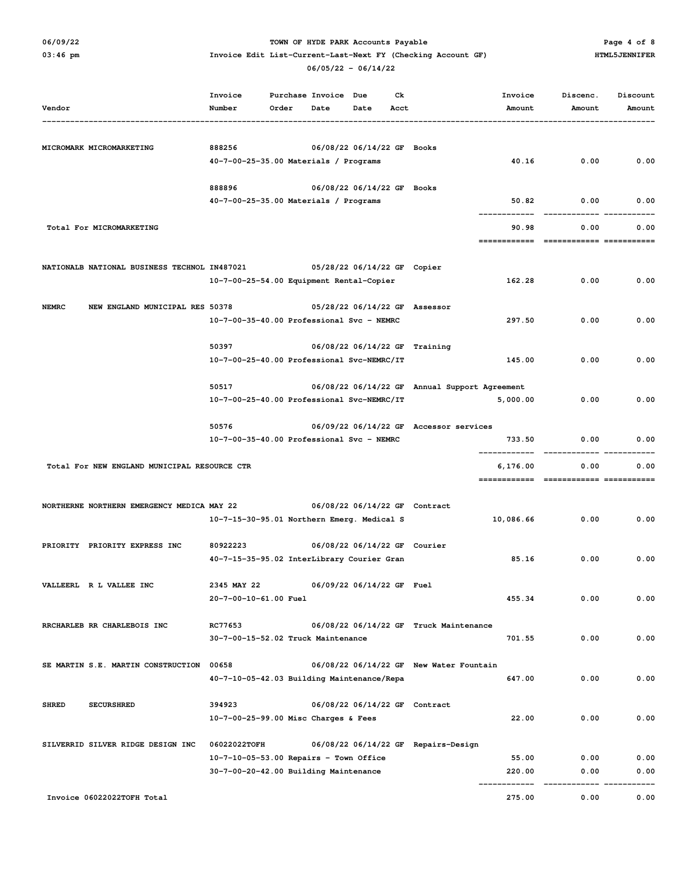## O6/09/22 **PARK Accounts Payable** PARK Accounts Payable PARK Accounts Payable Page 4 of 8

| Vendor                                          | Invoice<br>Number                                                | Order | Purchase Invoice Due<br>Date | Date                         | Сk<br>Acct | Invoice<br>Amount                                         | Discenc.<br>Amount | Discount<br>Amount |
|-------------------------------------------------|------------------------------------------------------------------|-------|------------------------------|------------------------------|------------|-----------------------------------------------------------|--------------------|--------------------|
| MICROMARK MICROMARKETING                        | 888256                                                           |       |                              | 06/08/22 06/14/22 GF Books   |            |                                                           |                    |                    |
|                                                 | 40-7-00-25-35.00 Materials / Programs                            |       |                              |                              |            | 40.16                                                     | 0.00               | 0.00               |
|                                                 | 888896                                                           |       |                              | 06/08/22 06/14/22 GF Books   |            |                                                           |                    |                    |
|                                                 | 40-7-00-25-35.00 Materials / Programs                            |       |                              |                              |            | 50.82                                                     | 0.00               | 0.00               |
| Total For MICROMARKETING                        |                                                                  |       |                              |                              |            | 90.98                                                     | 0.00               | 0.00               |
|                                                 |                                                                  |       |                              |                              |            |                                                           |                    |                    |
| NATIONALB NATIONAL BUSINESS TECHNOL IN487021    |                                                                  |       |                              | 05/28/22 06/14/22 GF Copier  |            |                                                           |                    |                    |
|                                                 | 10-7-00-25-54.00 Equipment Rental-Copier                         |       |                              |                              |            | 162.28                                                    | 0.00               | 0.00               |
| <b>NEMRC</b><br>NEW ENGLAND MUNICIPAL RES 50378 |                                                                  |       |                              |                              |            | 05/28/22 06/14/22 GF Assessor                             |                    |                    |
|                                                 | 10-7-00-35-40.00 Professional Svc - NEMRC                        |       |                              |                              |            | 297.50                                                    | 0.00               | 0.00               |
|                                                 | 50397                                                            |       |                              |                              |            | 06/08/22 06/14/22 GF Training                             |                    |                    |
|                                                 | 10-7-00-25-40.00 Professional Svc-NEMRC/IT                       |       |                              |                              |            | 145.00                                                    | 0.00               | 0.00               |
|                                                 |                                                                  |       |                              |                              |            |                                                           |                    |                    |
|                                                 | 50517<br>10-7-00-25-40.00 Professional Svc-NEMRC/IT              |       |                              |                              |            | 06/08/22 06/14/22 GF Annual Support Agreement<br>5,000.00 | 0.00               | 0.00               |
|                                                 |                                                                  |       |                              |                              |            |                                                           |                    |                    |
|                                                 | 50576                                                            |       |                              |                              |            | 06/09/22 06/14/22 GF Accessor services                    |                    |                    |
|                                                 | 10-7-00-35-40.00 Professional Svc - NEMRC                        |       |                              |                              |            | 733.50                                                    | 0.00               | 0.00               |
| Total For NEW ENGLAND MUNICIPAL RESOURCE CTR    |                                                                  |       |                              |                              |            | 6,176.00                                                  | 0.00               | 0.00               |
|                                                 |                                                                  |       |                              |                              |            |                                                           |                    |                    |
| NORTHERNE NORTHERN EMERGENCY MEDICA MAY 22      |                                                                  |       |                              |                              |            | 06/08/22 06/14/22 GF Contract                             |                    |                    |
|                                                 | 10-7-15-30-95.01 Northern Emerg. Medical S                       |       |                              |                              |            | 10,086.66                                                 | 0.00               | 0.00               |
| PRIORITY PRIORITY EXPRESS INC                   | 80922223                                                         |       |                              | 06/08/22 06/14/22 GF Courier |            |                                                           |                    |                    |
|                                                 | 40-7-15-35-95.02 InterLibrary Courier Gran                       |       |                              |                              |            | 85.16                                                     | 0.00               | 0.00               |
|                                                 |                                                                  |       |                              |                              |            |                                                           |                    |                    |
| VALLEERL R L VALLEE INC                         | 2345 MAY 22<br>20-7-00-10-61.00 Fuel                             |       |                              | 06/09/22 06/14/22 GF Fuel    |            | 455.34                                                    | 0.00               | 0.00               |
|                                                 |                                                                  |       |                              |                              |            |                                                           |                    |                    |
| RRCHARLEB RR CHARLEBOIS INC                     | RC77653                                                          |       |                              |                              |            | 06/08/22 06/14/22 GF Truck Maintenance                    |                    |                    |
|                                                 | 30-7-00-15-52.02 Truck Maintenance                               |       |                              |                              |            | 701.55                                                    | 0.00               | 0.00               |
| SE MARTIN S.E. MARTIN CONSTRUCTION              | 00658                                                            |       |                              |                              |            | 06/08/22 06/14/22 GF New Water Fountain                   |                    |                    |
|                                                 | 40-7-10-05-42.03 Building Maintenance/Repa                       |       |                              |                              |            | 647.00                                                    | 0.00               | 0.00               |
| <b>SHRED</b><br><b>SECURSHRED</b>               | 394923                                                           |       |                              |                              |            | 06/08/22 06/14/22 GF Contract                             |                    |                    |
|                                                 | 10-7-00-25-99.00 Misc Charges & Fees                             |       |                              |                              |            | 22.00                                                     | 0.00               | 0.00               |
|                                                 |                                                                  |       |                              |                              |            |                                                           |                    |                    |
| SILVERRID SILVER RIDGE DESIGN INC               | 06022022TOFH<br>$10 - 7 - 10 - 05 - 53.00$ Repairs - Town Office |       |                              |                              |            | 06/08/22 06/14/22 GF Repairs-Design<br>55.00              | 0.00               | 0.00               |
|                                                 | 30-7-00-20-42.00 Building Maintenance                            |       |                              |                              |            | 220.00                                                    | 0.00               | 0.00               |
|                                                 |                                                                  |       |                              |                              |            |                                                           |                    |                    |
| Invoice 06022022TOFH Total                      |                                                                  |       |                              |                              |            | 275.00                                                    | 0.00               | 0.00               |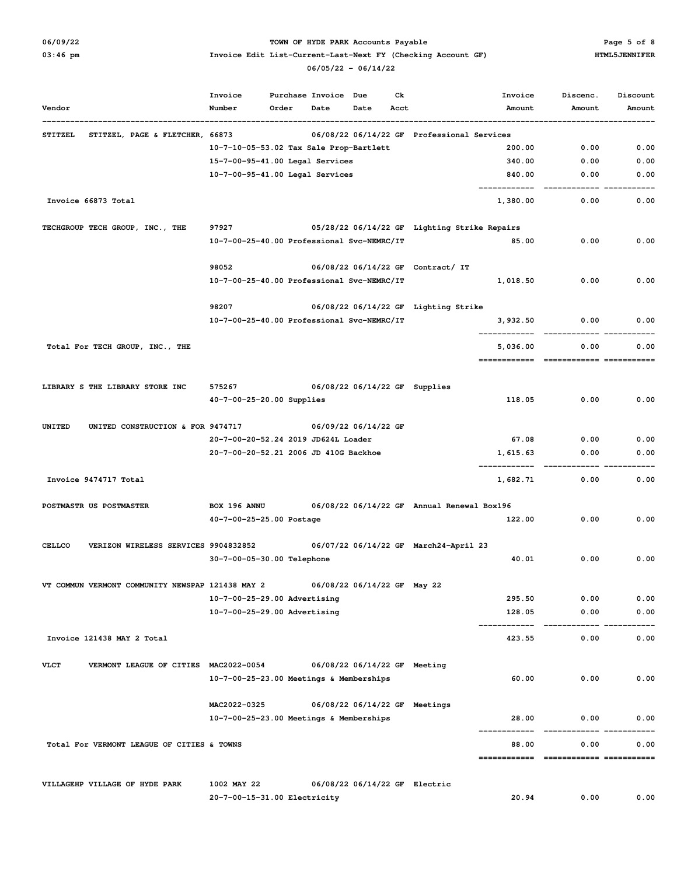### **06/09/22 TOWN OF HYDE PARK Accounts Payable Page 5 of 8**

# **03:46 pm Invoice Edit List-Current-Last-Next FY (Checking Account GF) HTML5JENNIFER**

| Vendor         |                                                  | Number                                      | Order | Date | Date                          | Acct | Amount                                       | Amount | Amount |
|----------------|--------------------------------------------------|---------------------------------------------|-------|------|-------------------------------|------|----------------------------------------------|--------|--------|
| <b>STITZEL</b> | STITZEL, PAGE & FLETCHER, 66873                  |                                             |       |      |                               |      | 06/08/22 06/14/22 GF Professional Services   |        |        |
|                |                                                  | 10-7-10-05-53.02 Tax Sale Prop-Bartlett     |       |      |                               |      | 200.00                                       | 0.00   | 0.00   |
|                |                                                  | 15-7-00-95-41.00 Legal Services             |       |      |                               |      | 340.00                                       | 0.00   | 0.00   |
|                |                                                  | 10-7-00-95-41.00 Legal Services             |       |      |                               |      | 840.00                                       | 0.00   | 0.00   |
|                | Invoice 66873 Total                              |                                             |       |      |                               |      | 1,380.00                                     | 0.00   | 0.00   |
|                | TECHGROUP TECH GROUP, INC., THE                  | 97927                                       |       |      |                               |      | 05/28/22 06/14/22 GF Lighting Strike Repairs |        |        |
|                |                                                  | 10-7-00-25-40.00 Professional Svc-NEMRC/IT  |       |      |                               |      | 85.00                                        | 0.00   | 0.00   |
|                |                                                  | 98052                                       |       |      |                               |      | 06/08/22 06/14/22 GF Contract/ IT            |        |        |
|                |                                                  | 10-7-00-25-40.00 Professional Svc-NEMRC/IT  |       |      |                               |      | 1,018.50                                     | 0.00   | 0.00   |
|                |                                                  | 98207                                       |       |      |                               |      | 06/08/22 06/14/22 GF Lighting Strike         |        |        |
|                |                                                  | 10-7-00-25-40.00 Professional Svc-NEMRC/IT  |       |      |                               |      | 3,932.50                                     | 0.00   | 0.00   |
|                | Total For TECH GROUP, INC., THE                  |                                             |       |      |                               |      | 5,036.00                                     | 0.00   | 0.00   |
|                |                                                  |                                             |       |      |                               |      |                                              |        |        |
|                | LIBRARY S THE LIBRARY STORE INC                  | 575267                                      |       |      | 06/08/22 06/14/22 GF Supplies |      |                                              |        |        |
|                |                                                  | 40-7-00-25-20.00 Supplies                   |       |      |                               |      | 118.05                                       | 0.00   | 0.00   |
| UNITED         | UNITED CONSTRUCTION & FOR 9474717                |                                             |       |      | 06/09/22 06/14/22 GF          |      |                                              |        |        |
|                |                                                  | 20-7-00-20-52.24 2019 JD624L Loader         |       |      |                               |      | 67.08                                        | 0.00   | 0.00   |
|                |                                                  | 20-7-00-20-52.21 2006 JD 410G Backhoe       |       |      |                               |      | 1,615.63                                     | 0.00   | 0.00   |
|                | Invoice 9474717 Total                            |                                             |       |      |                               |      | 1,682.71                                     | 0.00   | 0.00   |
|                | POSTMASTR US POSTMASTER                          | BOX 196 ANNU                                |       |      |                               |      | 06/08/22 06/14/22 GF Annual Renewal Box196   |        |        |
|                |                                                  | 40-7-00-25-25.00 Postage                    |       |      |                               |      | 122.00                                       | 0.00   | 0.00   |
| <b>CELLCO</b>  | VERIZON WIRELESS SERVICES 9904832852             |                                             |       |      |                               |      | 06/07/22 06/14/22 GF March24-April 23        |        |        |
|                |                                                  | 30-7-00-05-30.00 Telephone                  |       |      |                               |      | 40.01                                        | 0.00   | 0.00   |
|                | VT COMMUN VERMONT COMMUNITY NEWSPAP 121438 MAY 2 |                                             |       |      | 06/08/22 06/14/22 GF May 22   |      |                                              |        |        |
|                |                                                  | 10-7-00-25-29.00 Advertising                |       |      |                               |      | 295.50                                       | 0.00   | 0.00   |
|                |                                                  | 10-7-00-25-29.00 Advertising                |       |      |                               |      | 128.05                                       | 0.00   | 0.00   |
|                | Invoice 121438 MAY 2 Total                       |                                             |       |      |                               |      | 423.55                                       | 0.00   | 0.00   |
| <b>VLCT</b>    | VERMONT LEAGUE OF CITIES MAC2022-0054            |                                             |       |      | 06/08/22 06/14/22 GF Meeting  |      |                                              |        |        |
|                |                                                  | 10-7-00-25-23.00 Meetings & Memberships     |       |      |                               |      | 60.00                                        | 0.00   | 0.00   |
|                |                                                  | MAC2022-0325                                |       |      | 06/08/22 06/14/22 GF Meetings |      |                                              |        |        |
|                |                                                  | 10-7-00-25-23.00 Meetings & Memberships     |       |      |                               |      | 28.00                                        | 0.00   | 0.00   |
|                | Total For VERMONT LEAGUE OF CITIES & TOWNS       |                                             |       |      |                               |      | 88.00                                        | 0.00   | 0.00   |
|                |                                                  |                                             |       |      |                               |      |                                              |        |        |
|                | VILLAGEHP VILLAGE OF HYDE PARK                   | 1002 MAY 22<br>20-7-00-15-31.00 Electricity |       |      | 06/08/22 06/14/22 GF Electric |      | 20.94                                        | 0.00   | 0.00   |
|                |                                                  |                                             |       |      |                               |      |                                              |        |        |

## **06/05/22 - 06/14/22**

 **Invoice Purchase Invoice Due Ck Invoice Discenc. Discount**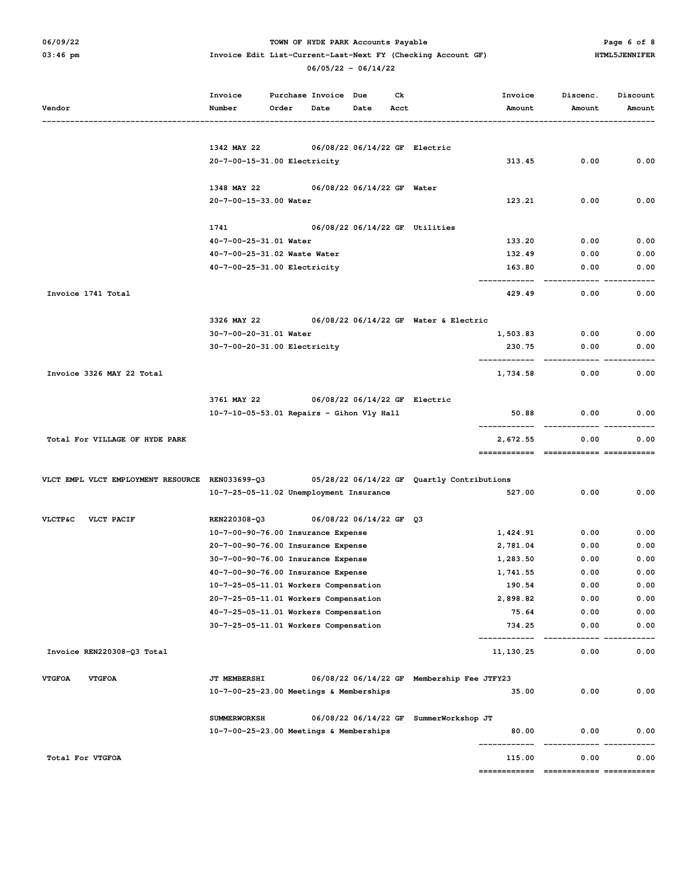## O6/09/22 **TOWN OF HYDE PARK Accounts Payable** Page 6 of 8

|                                                 | Invoice                                   |       | Purchase Invoice<br>Due<br>Ck |                                |      | Invoice                                    | Discenc.   | Discount |        |
|-------------------------------------------------|-------------------------------------------|-------|-------------------------------|--------------------------------|------|--------------------------------------------|------------|----------|--------|
| Vendor                                          | Number                                    | Order | Date                          | Date                           | Acct |                                            | Amount     | Amount   | Amount |
|                                                 |                                           |       |                               |                                |      |                                            |            |          |        |
|                                                 | 1342 MAY 22                               |       |                               | 06/08/22 06/14/22 GF Electric  |      |                                            |            |          |        |
|                                                 | 20-7-00-15-31.00 Electricity              |       |                               |                                |      |                                            | 313.45     | 0.00     | 0.00   |
|                                                 |                                           |       |                               |                                |      |                                            |            |          |        |
|                                                 | 1348 MAY 22                               |       |                               | 06/08/22 06/14/22 GF Water     |      |                                            |            |          |        |
|                                                 | 20-7-00-15-33.00 Water                    |       |                               |                                |      |                                            | 123.21     | 0.00     | 0.00   |
|                                                 | 1741                                      |       |                               | 06/08/22 06/14/22 GF Utilities |      |                                            |            |          |        |
|                                                 | 40-7-00-25-31.01 Water                    |       |                               |                                |      |                                            | 133.20     | 0.00     | 0.00   |
|                                                 | 40-7-00-25-31.02 Waste Water              |       |                               |                                |      |                                            | 132.49     | 0.00     | 0.00   |
|                                                 | 40-7-00-25-31.00 Electricity              |       |                               |                                |      |                                            | 163.80     | 0.00     | 0.00   |
| Invoice 1741 Total                              |                                           |       |                               |                                |      |                                            | 429.49     | 0.00     | 0.00   |
|                                                 |                                           |       |                               |                                |      |                                            |            |          |        |
|                                                 | 3326 MAY 22<br>30-7-00-20-31.01 Water     |       |                               |                                |      | 06/08/22 06/14/22 GF Water & Electric      |            |          | 0.00   |
|                                                 |                                           |       |                               |                                |      |                                            | 1,503.83   | 0.00     |        |
|                                                 | 30-7-00-20-31.00 Electricity              |       |                               |                                |      |                                            | 230.75     | 0.00     | 0.00   |
| Invoice 3326 MAY 22 Total                       |                                           |       |                               |                                |      |                                            | 1,734.58   | 0.00     | 0.00   |
|                                                 | 3761 MAY 22                               |       |                               | 06/08/22 06/14/22 GF Electric  |      |                                            |            |          |        |
|                                                 | 10-7-10-05-53.01 Repairs - Gihon Vly Hall |       |                               |                                |      |                                            | 50.88      | 0.00     | 0.00   |
|                                                 |                                           |       |                               |                                |      |                                            | 2,672.55   | 0.00     | 0.00   |
| Total For VILLAGE OF HYDE PARK                  |                                           |       |                               |                                |      |                                            |            |          |        |
| VLCT EMPL VLCT EMPLOYMENT RESOURCE REN033699-Q3 |                                           |       |                               |                                |      | 05/28/22 06/14/22 GF Quartly Contributions |            |          |        |
|                                                 | 10-7-25-05-11.02 Unemployment Insurance   |       |                               |                                |      |                                            | 527.00     | 0.00     | 0.00   |
|                                                 |                                           |       |                               |                                |      |                                            |            |          |        |
| <b>VLCTP&amp;C</b><br>VLCT PACIF                | REN220308-Q3                              |       |                               | 06/08/22 06/14/22 GF Q3        |      |                                            |            |          |        |
|                                                 | 10-7-00-90-76.00 Insurance Expense        |       |                               |                                |      |                                            | 1,424.91   | 0.00     | 0.00   |
|                                                 | 20-7-00-90-76.00 Insurance Expense        |       |                               |                                |      |                                            | 2,781.04   | 0.00     | 0.00   |
|                                                 | 30-7-00-90-76.00 Insurance Expense        |       |                               |                                |      |                                            | 1,283.50   | 0.00     | 0.00   |
|                                                 | 40-7-00-90-76.00 Insurance Expense        |       |                               |                                |      |                                            | 1,741.55   | 0.00     | 0.00   |
|                                                 | 10-7-25-05-11.01 Workers Compensation     |       |                               |                                |      |                                            | 190.54     | 0.00     | 0.00   |
|                                                 | 20-7-25-05-11.01 Workers Compensation     |       |                               |                                |      |                                            | 2,898.82   | 0.00     | 0.00   |
|                                                 | 40-7-25-05-11.01 Workers Compensation     |       |                               |                                |      |                                            | 75.64      | 0.00     | 0.00   |
|                                                 | 30-7-25-05-11.01 Workers Compensation     |       |                               |                                |      |                                            | 734.25     | 0.00     | 0.00   |
| Invoice REN220308-Q3 Total                      |                                           |       |                               |                                |      |                                            | 11, 130.25 | 0.00     | 0.00   |
| <b>VTGFOA</b><br><b>VTGFOA</b>                  | JT MEMBERSHI                              |       |                               |                                |      | 06/08/22 06/14/22 GF Membership Fee JTFY23 |            |          |        |
|                                                 |                                           |       |                               |                                |      |                                            | 35.00      | 0.00     | 0.00   |
|                                                 | 10-7-00-25-23.00 Meetings & Memberships   |       |                               |                                |      |                                            |            |          |        |
|                                                 | <b>SUMMERWORKSH</b>                       |       |                               |                                |      | 06/08/22 06/14/22 GF SummerWorkshop JT     |            |          |        |
|                                                 | 10-7-00-25-23.00 Meetings & Memberships   |       |                               |                                |      |                                            | 80.00      | 0.00     | 0.00   |
| Total For VTGFOA                                |                                           |       |                               |                                |      |                                            | 115.00     | 0.00     | 0.00   |
|                                                 |                                           |       |                               |                                |      |                                            |            |          |        |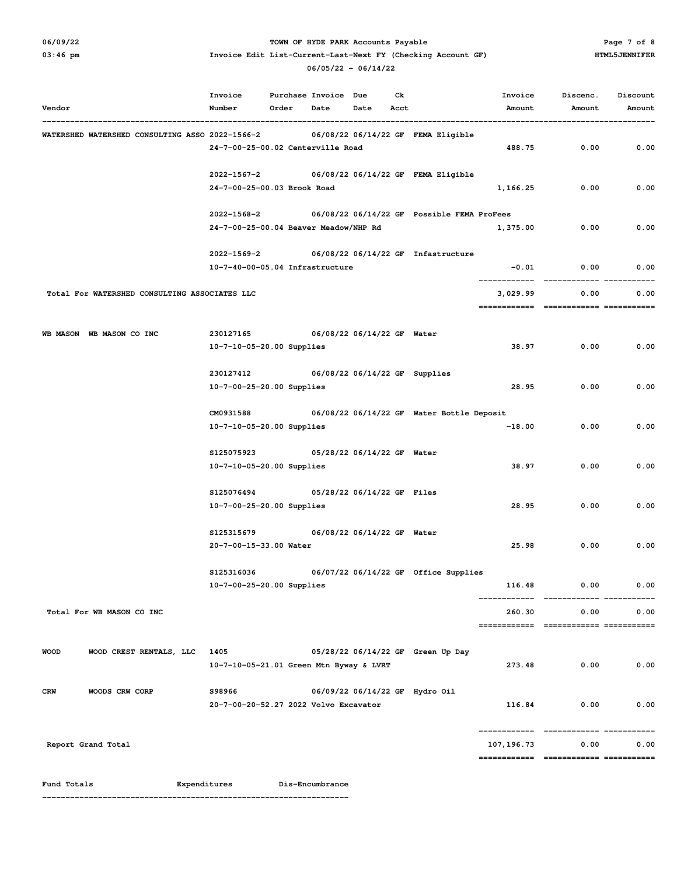## O6/09/22 **PARK Accounts Payable** PARK Accounts Payable PARK Accounts Payable Page 7 of 8

## 03:46 pm **Invoice Edit List-Current-Last-Next FY** (Checking Account GF) HTML5JENNIFER  **06/05/22 - 06/14/22**

| Vendor                                          | Invoice<br>Number                               | Order Date | Purchase Invoice Due | Date Acct                  | Ck |                                            | Invoice<br>Amount | Discenc.<br>Amount | Discount<br>Amount |
|-------------------------------------------------|-------------------------------------------------|------------|----------------------|----------------------------|----|--------------------------------------------|-------------------|--------------------|--------------------|
| WATERSHED WATERSHED CONSULTING ASSO 2022-1566-2 |                                                 |            |                      |                            |    | 06/08/22 06/14/22 GF FEMA Eligible         |                   |                    |                    |
|                                                 | 24-7-00-25-00.02 Centerville Road               |            |                      |                            |    |                                            | 488.75            | 0.00               | 0.00               |
|                                                 | 2022-1567-2                                     |            |                      |                            |    | 06/08/22 06/14/22 GF FEMA Eligible         |                   |                    |                    |
|                                                 | 24-7-00-25-00.03 Brook Road                     |            |                      |                            |    |                                            | 1,166.25          | 0.00               | 0.00               |
|                                                 | 2022-1568-2                                     |            |                      |                            |    | 06/08/22 06/14/22 GF Possible FEMA ProFees |                   |                    |                    |
|                                                 | 24-7-00-25-00.04 Beaver Meadow/NHP Rd           |            |                      |                            |    |                                            | 1,375.00          | 0.00               | 0.00               |
|                                                 | 2022-1569-2                                     |            |                      |                            |    | 06/08/22 06/14/22 GF Infastructure         |                   |                    |                    |
|                                                 | 10-7-40-00-05.04 Infrastructure                 |            |                      |                            |    |                                            | $-0.01$           | 0.00               | 0.00               |
| Total For WATERSHED CONSULTING ASSOCIATES LLC   |                                                 |            |                      |                            |    |                                            | 3,029.99          | 0.00               | 0.00               |
| WB MASON WB MASON CO INC                        |                                                 |            |                      |                            |    |                                            |                   |                    |                    |
|                                                 | 230127165<br>10-7-10-05-20.00 Supplies          |            |                      | 06/08/22 06/14/22 GF Water |    |                                            | 38.97             | 0.00               | 0.00               |
|                                                 | 230127412                                       |            |                      |                            |    | 06/08/22 06/14/22 GF Supplies              |                   |                    |                    |
|                                                 | 10-7-00-25-20.00 Supplies                       |            |                      |                            |    |                                            | 28.95             | 0.00               | 0.00               |
|                                                 | CM0931588                                       |            |                      |                            |    | 06/08/22 06/14/22 GF Water Bottle Deposit  |                   |                    |                    |
|                                                 | 10-7-10-05-20.00 Supplies                       |            |                      |                            |    |                                            | $-18.00$          | 0.00               | 0.00               |
|                                                 | \$125075923                                     |            |                      | 05/28/22 06/14/22 GF Water |    |                                            |                   |                    |                    |
|                                                 | 10-7-10-05-20.00 Supplies                       |            |                      |                            |    |                                            | 38.97             | 0.00               | 0.00               |
|                                                 | S125076494<br>05/28/22 06/14/22 GF Files        |            |                      |                            |    |                                            |                   |                    |                    |
|                                                 | 10-7-00-25-20.00 Supplies                       |            |                      |                            |    |                                            | 28.95             | 0.00               | 0.00               |
|                                                 | \$125315679                                     |            |                      | 06/08/22 06/14/22 GF Water |    |                                            |                   |                    |                    |
|                                                 | 20-7-00-15-33.00 Water                          |            |                      |                            |    |                                            | 25.98             | 0.00               | 0.00               |
|                                                 | \$125316036                                     |            |                      |                            |    | 06/07/22 06/14/22 GF Office Supplies       |                   |                    |                    |
|                                                 | 10-7-00-25-20.00 Supplies                       |            |                      |                            |    |                                            | 116.48            | 0.00               | 0.00               |
| Total For WB MASON CO INC                       |                                                 |            |                      |                            |    |                                            | 260.30            | 0.00               | 0.00               |
|                                                 |                                                 |            |                      |                            |    |                                            |                   |                    |                    |
| WOOD CREST RENTALS, LLC 1405<br><b>WOOD</b>     | 10-7-10-05-21.01 Green Mtn Byway & LVRT         |            |                      |                            |    | 05/28/22 06/14/22 GF Green Up Day          | 273.48            | 0.00               | 0.00               |
|                                                 |                                                 |            |                      |                            |    |                                            |                   |                    |                    |
| WOODS CRW CORP<br><b>CRW</b>                    | S98966<br>20-7-00-20-52.27 2022 Volvo Excavator |            |                      |                            |    | 06/09/22 06/14/22 GF Hydro Oil             |                   | 116.84<br>0.00     | 0.00               |
|                                                 |                                                 |            |                      |                            |    |                                            |                   |                    |                    |
| Report Grand Total                              |                                                 |            |                      |                            |    |                                            | 107,196.73        | 0.00               | 0.00               |
|                                                 |                                                 |            |                      |                            |    |                                            |                   |                    |                    |
| Fund Totals                                     | Expenditures                                    |            | Dis-Encumbrance      |                            |    |                                            |                   |                    |                    |

**------------------------------------------------------------------**